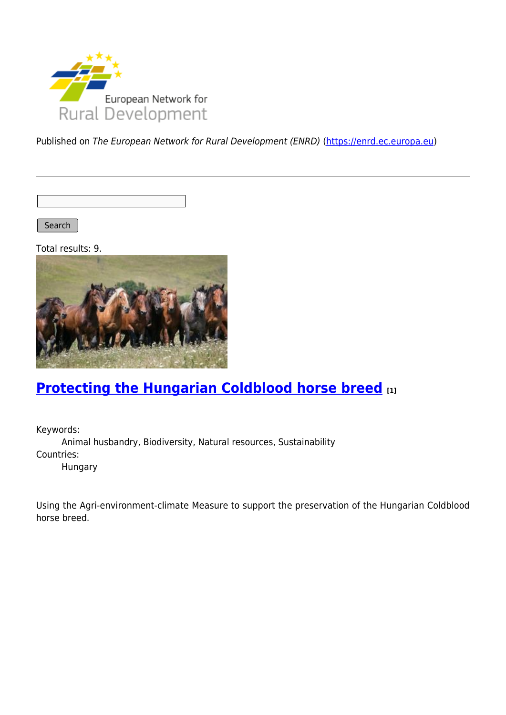

Published on The European Network for Rural Development (ENRD) [\(https://enrd.ec.europa.eu](https://enrd.ec.europa.eu))

Search

Total results: 9.



# **[Protecting the Hungarian Coldblood horse breed](https://enrd.ec.europa.eu/projects-practice/protecting-hungarian-coldblood-horse-breed_en) [1]**

Keywords: Animal husbandry, Biodiversity, Natural resources, Sustainability Countries: Hungary

Using the Agri-environment-climate Measure to support the preservation of the Hungarian Coldblood horse breed.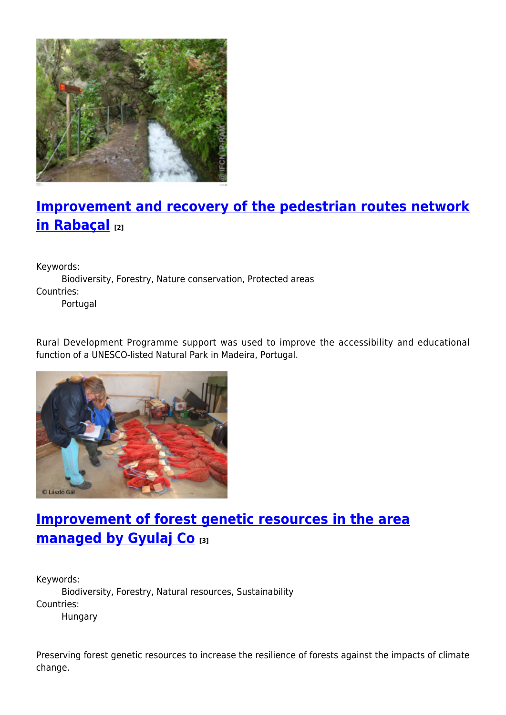

# **[Improvement and recovery of the pedestrian routes network](https://enrd.ec.europa.eu/projects-practice/improvement-and-recovery-pedestrian-routes-network-rabacal_en) [in Rabaçal](https://enrd.ec.europa.eu/projects-practice/improvement-and-recovery-pedestrian-routes-network-rabacal_en) [2]**

Keywords:

Biodiversity, Forestry, Nature conservation, Protected areas Countries: Portugal

Rural Development Programme support was used to improve the accessibility and educational function of a UNESCO-listed Natural Park in Madeira, Portugal.



## **[Improvement of forest genetic resources in the area](https://enrd.ec.europa.eu/projects-practice/improvement-forest-genetic-resources-area-managed-gyulaj-co_en) [managed by Gyulaj Co](https://enrd.ec.europa.eu/projects-practice/improvement-forest-genetic-resources-area-managed-gyulaj-co_en) [3]**

Keywords: Biodiversity, Forestry, Natural resources, Sustainability Countries: Hungary

Preserving forest genetic resources to increase the resilience of forests against the impacts of climate change.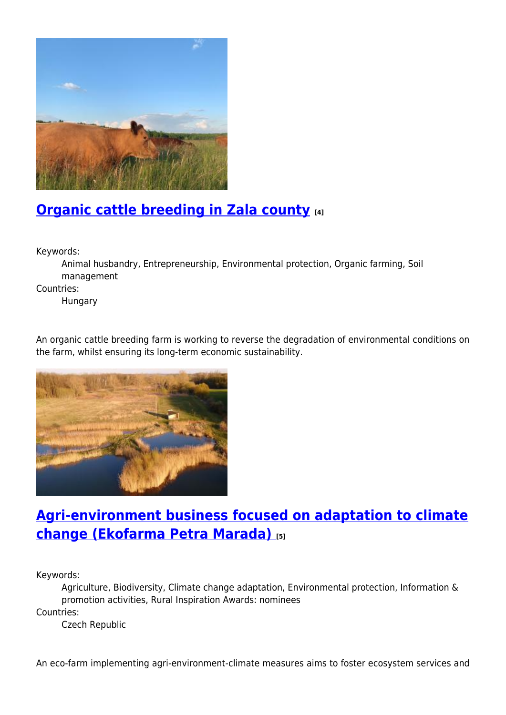

# **[Organic cattle breeding in Zala county](https://enrd.ec.europa.eu/projects-practice/organic-cattle-breeding-zala-county_en) [4]**

Keywords:

Animal husbandry, Entrepreneurship, Environmental protection, Organic farming, Soil management

Countries:

Hungary

An organic cattle breeding farm is working to reverse the degradation of environmental conditions on the farm, whilst ensuring its long-term economic sustainability.



## **[Agri-environment business focused on adaptation to climate](https://enrd.ec.europa.eu/projects-practice/agri-environment-business-focused-adaptation-climate-change-ekofarma-petra-marada_en) [change \(Ekofarma Petra Marada\)](https://enrd.ec.europa.eu/projects-practice/agri-environment-business-focused-adaptation-climate-change-ekofarma-petra-marada_en) [5]**

Keywords:

Agriculture, Biodiversity, Climate change adaptation, Environmental protection, Information & promotion activities, Rural Inspiration Awards: nominees Countries:

Czech Republic

An eco-farm implementing agri-environment-climate measures aims to foster ecosystem services and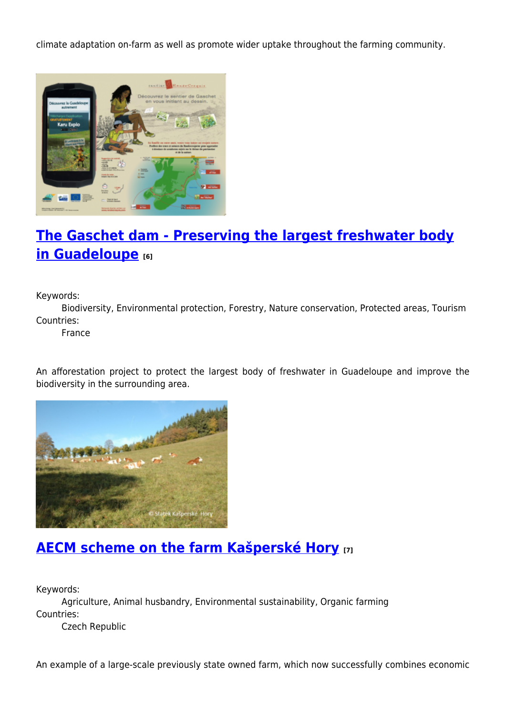climate adaptation on-farm as well as promote wider uptake throughout the farming community.



# **[The Gaschet dam - Preserving the largest freshwater body](https://enrd.ec.europa.eu/projects-practice/gaschet-dam-preserving-largest-freshwater-body-guadeloupe_en) [in Guadeloupe](https://enrd.ec.europa.eu/projects-practice/gaschet-dam-preserving-largest-freshwater-body-guadeloupe_en) [6]**

Keywords:

Biodiversity, Environmental protection, Forestry, Nature conservation, Protected areas, Tourism Countries:

France

An afforestation project to protect the largest body of freshwater in Guadeloupe and improve the biodiversity in the surrounding area.



### **[AECM scheme on the farm Kašperské Hory](https://enrd.ec.europa.eu/projects-practice/aecm-scheme-farm-kasperske-hory_en) [7]**

Keywords:

Agriculture, Animal husbandry, Environmental sustainability, Organic farming Countries:

Czech Republic

An example of a large-scale previously state owned farm, which now successfully combines economic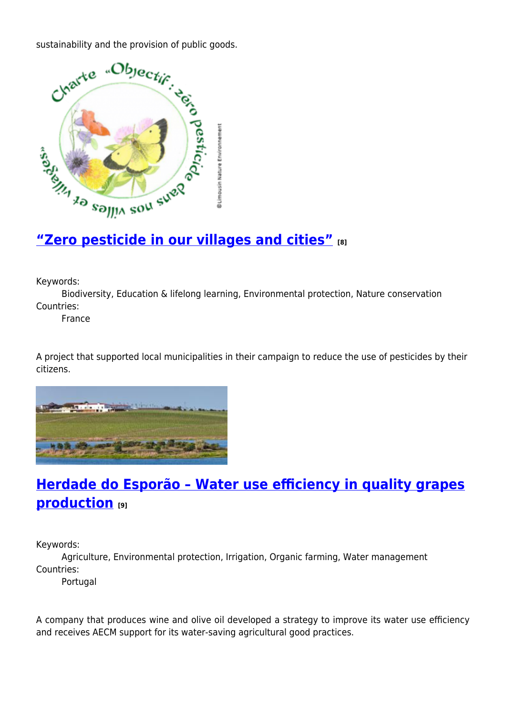

Keywords:

Biodiversity, Education & lifelong learning, Environmental protection, Nature conservation Countries:

France

A project that supported local municipalities in their campaign to reduce the use of pesticides by their citizens.



### **[Herdade do Esporão – Water use efficiency in quality grapes](https://enrd.ec.europa.eu/projects-practice/herdade-do-esporao-water-use-efficiency-quality-grapes-production_en) [production](https://enrd.ec.europa.eu/projects-practice/herdade-do-esporao-water-use-efficiency-quality-grapes-production_en) [9]**

Keywords:

Agriculture, Environmental protection, Irrigation, Organic farming, Water management Countries:

Portugal

A company that produces wine and olive oil developed a strategy to improve its water use efficiency and receives AECM support for its water-saving agricultural good practices.